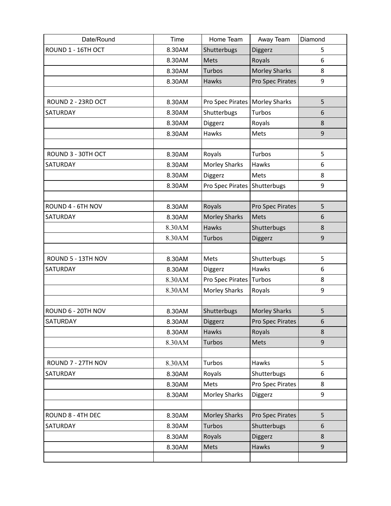| Date/Round         | Time   | Home Team            | Away Team            | Diamond |
|--------------------|--------|----------------------|----------------------|---------|
| ROUND 1 - 16TH OCT | 8.30AM | Shutterbugs          | Diggerz              | 5       |
|                    | 8.30AM | <b>Mets</b>          | Royals               | 6       |
|                    | 8.30AM | <b>Turbos</b>        | <b>Morley Sharks</b> | 8       |
|                    | 8.30AM | Hawks                | Pro Spec Pirates     | 9       |
|                    |        |                      |                      |         |
| ROUND 2 - 23RD OCT | 8.30AM | Pro Spec Pirates     | <b>Morley Sharks</b> | 5       |
| SATURDAY           | 8.30AM | Shutterbugs          | Turbos               | 6       |
|                    | 8.30AM | Diggerz              | Royals               | 8       |
|                    | 8.30AM | Hawks                | Mets                 | 9       |
|                    |        |                      |                      |         |
| ROUND 3 - 30TH OCT | 8.30AM | Royals               | Turbos               | 5       |
| SATURDAY           | 8.30AM | <b>Morley Sharks</b> | Hawks                | 6       |
|                    | 8.30AM | Diggerz              | Mets                 | 8       |
|                    | 8.30AM | Pro Spec Pirates     | Shutterbugs          | 9       |
|                    |        |                      |                      |         |
| ROUND 4 - 6TH NOV  | 8.30AM | Royals               | Pro Spec Pirates     | 5       |
| SATURDAY           | 8.30AM | <b>Morley Sharks</b> | Mets                 | 6       |
|                    | 8.30AM | <b>Hawks</b>         | Shutterbugs          | 8       |
|                    | 8.30AM | Turbos               | Diggerz              | 9       |
|                    |        |                      |                      |         |
| ROUND 5 - 13TH NOV | 8.30AM | Mets                 | Shutterbugs          | 5       |
| SATURDAY           | 8.30AM | Diggerz              | Hawks                | 6       |
|                    | 8.30AM | Pro Spec Pirates     | Turbos               | 8       |
|                    | 8.30AM | <b>Morley Sharks</b> | Royals               | 9       |
|                    |        |                      |                      |         |
| ROUND 6 - 20TH NOV | 8.30AM | Shutterbugs          | <b>Morley Sharks</b> | 5       |
| <b>SATURDAY</b>    | 8.30AM | Diggerz              | Pro Spec Pirates     | 6       |
|                    | 8.30AM | Hawks                | Royals               | 8       |
|                    | 8.30AM | <b>Turbos</b>        | Mets                 | 9       |
|                    |        |                      |                      |         |
| ROUND 7 - 27TH NOV | 8.30AM | Turbos               | Hawks                | 5       |
| SATURDAY           | 8.30AM | Royals               | Shutterbugs          | 6       |
|                    | 8.30AM | Mets                 | Pro Spec Pirates     | 8       |
|                    | 8.30AM | <b>Morley Sharks</b> | Diggerz              | 9       |
|                    |        |                      |                      |         |
| ROUND 8 - 4TH DEC  | 8.30AM | <b>Morley Sharks</b> | Pro Spec Pirates     | 5       |
| SATURDAY           | 8.30AM | Turbos               | Shutterbugs          | 6       |
|                    | 8.30AM | Royals               | Diggerz              | 8       |
|                    | 8.30AM | Mets                 | Hawks                | 9       |
|                    |        |                      |                      |         |